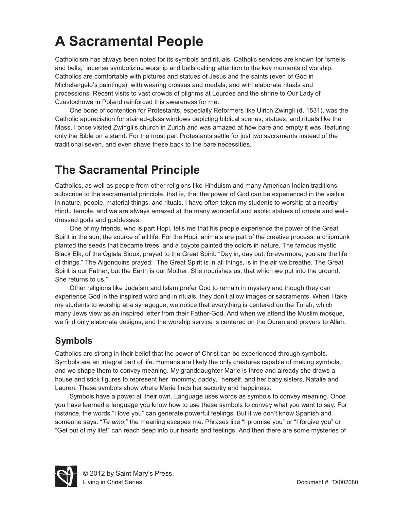**A**<br>A Sacramental People and rituals. Catholic services are known for "smells<br>Catholicism has always been noted for its symbols and rituals. Catholic services are known for "smells and bells," incense symbolizing worship and bells calling attention to the key moments of worship. Catholics are comfortable with pictures and statues of Jesus and the saints (even of God in Michelangelo's paintings), with wearing crosses and medals, and with elaborate rituals and processions. Recent visits to vast crowds of pilgrims at Lourdes and the shrine to Our Lady of Czestochowa in Poland reinforced this awareness for me.

 One bone of contention for Protestants, especially Reformers like Ulrich Zwingli (d. 1531), was the Catholic appreciation for stained-glass windows depicting biblical scenes, statues, and rituals like the Mass. I once visited Zwingli's church in Zurich and was amazed at how bare and empty it was, featuring only the Bible on a stand. For the most part Protestants settle for just two sacraments instead of the traditional seven, and even shave these back to the bare necessities.

**The Sacramental Principle**  Catholics, as well as people from other religions like Hinduism and many American Indian traditions, subscribe to the sacramental principle, that is, that the power of God can be experienced in the visible: in nature, people, material things, and rituals. I have often taken my students to worship at a nearby Hindu temple, and we are always amazed at the many wonderful and exotic statues of ornate and welldressed gods and goddesses.

 One of my friends, who is part Hopi, tells me that his people experience the power of the Great Spirit in the sun, the source of all life. For the Hopi, animals are part of the creative process: a chipmunk planted the seeds that became trees, and a coyote painted the colors in nature. The famous mystic Black Elk, of the Oglala Sioux, prayed to the Great Spirit: "Day in, day out, forevermore, you are the life of things." The Algonquins prayed: "The Great Spirit is in all things, is in the air we breathe. The Great Spirit is our Father, but the Earth is our Mother. She nourishes us; that which we put into the ground, She returns to us."

 Other religions like Judaism and Islam prefer God to remain in mystery and though they can experience God in the inspired word and in rituals, they don't allow images or sacraments. When I take my students to worship at a synagogue, we notice that everything is centered on the Torah, which many Jews view as an inspired letter from their Father-God. And when we attend the Muslim mosque, we find only elaborate designs, and the worship service is centered on the Quran and prayers to Allah.

**Symbols**  Catholics are strong in their belief that the power of Christ can be experienced through symbols. Symbols are an integral part of life. Humans are likely the only creatures capable of making symbols, and we shape them to convey meaning. My granddaughter Marie is three and already she draws a house and stick figures to represent her "mommy, daddy," herself, and her baby sisters, Natalie and Lauren. These symbols show where Marie finds her security and happiness.

 Symbols have a power all their own. Language uses words as symbols to convey meaning. Once you have learned a language you know how to use these symbols to convey what you want to say. For instance, the words "I love you" can generate powerful feelings. But if we don't know Spanish and someone says: "*Te amo*," the meaning escapes me. Phrases like "I promise you" or "I forgive you" or "Get out of my life!" can reach deep into our hearts and feelings. And then there are some mysteries of

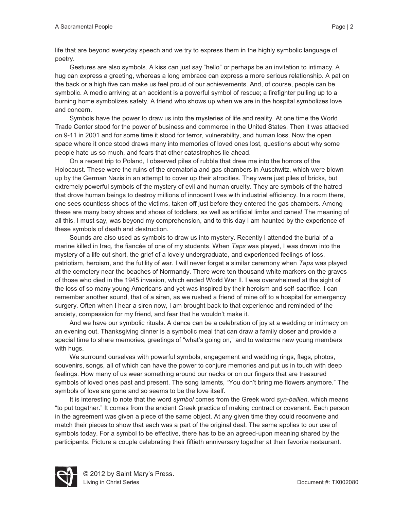life that are beyond everyday speech and we try to express them in the highly symbolic language of poetry.

Gestures are also symbols. A kiss can just say "hello" or perhaps be an invitation to intimacy. A hug can express a greeting, whereas a long embrace can express a more serious relationship. A pat on the back or a high five can make us feel proud of our achievements. And, of course, people can be symbolic. A medic arriving at an accident is a powerful symbol of rescue; a firefighter pulling up to a burning home symbolizes safety. A friend who shows up when we are in the hospital symbolizes love and concern.

 Symbols have the power to draw us into the mysteries of life and reality. At one time the World Trade Center stood for the power of business and commerce in the United States. Then it was attacked on 9-11 in 2001 and for some time it stood for terror, vulnerability, and human loss. Now the open space where it once stood draws many into memories of loved ones lost, questions about why some people hate us so much, and fears that other catastrophes lie ahead.

 On a recent trip to Poland, I observed piles of rubble that drew me into the horrors of the Holocaust. These were the ruins of the crematoria and gas chambers in Auschwitz, which were blown up by the German Nazis in an attempt to cover up their atrocities. They were just piles of bricks, but extremely powerful symbols of the mystery of evil and human cruelty. They are symbols of the hatred that drove human beings to destroy millions of innocent lives with industrial efficiency. In a room there, one sees countless shoes of the victims, taken off just before they entered the gas chambers. Among these are many baby shoes and shoes of toddlers, as well as artificial limbs and canes! The meaning of all this, I must say, was beyond my comprehension, and to this day I am haunted by the experience of these symbols of death and destruction.

 Sounds are also used as symbols to draw us into mystery. Recently I attended the burial of a marine killed in Iraq, the fiancée of one of my students. When *Taps* was played, I was drawn into the mystery of a life cut short, the grief of a lovely undergraduate, and experienced feelings of loss, patriotism, heroism, and the futility of war. I will never forget a similar ceremony when *Taps* was played at the cemetery near the beaches of Normandy. There were ten thousand white markers on the graves of those who died in the 1945 invasion, which ended World War II. I was overwhelmed at the sight of the loss of so many young Americans and yet was inspired by their heroism and self-sacrifice. I can remember another sound, that of a siren, as we rushed a friend of mine off to a hospital for emergency surgery. Often when I hear a siren now, I am brought back to that experience and reminded of the anxiety, compassion for my friend, and fear that he wouldn't make it.

 And we have our symbolic rituals. A dance can be a celebration of joy at a wedding or intimacy on an evening out. Thanksgiving dinner is a symbolic meal that can draw a family closer and provide a special time to share memories, greetings of "what's going on," and to welcome new young members with hugs.

 We surround ourselves with powerful symbols, engagement and wedding rings, flags, photos, souvenirs, songs, all of which can have the power to conjure memories and put us in touch with deep feelings. How many of us wear something around our necks or on our fingers that are treasured symbols of loved ones past and present. The song laments, "You don't bring me flowers anymore." The symbols of love are gone and so seems to be the love itself.

 It is interesting to note that the word *symbol* comes from the Greek word *syn-ballien*, which means "to put together." It comes from the ancient Greek practice of making contract or covenant. Each person in the agreement was given a piece of the same object. At any given time they could reconvene and match their pieces to show that each was a part of the original deal. The same applies to our use of symbols today. For a symbol to be effective, there has to be an agreed-upon meaning shared by the participants. Picture a couple celebrating their fiftieth anniversary together at their favorite restaurant.